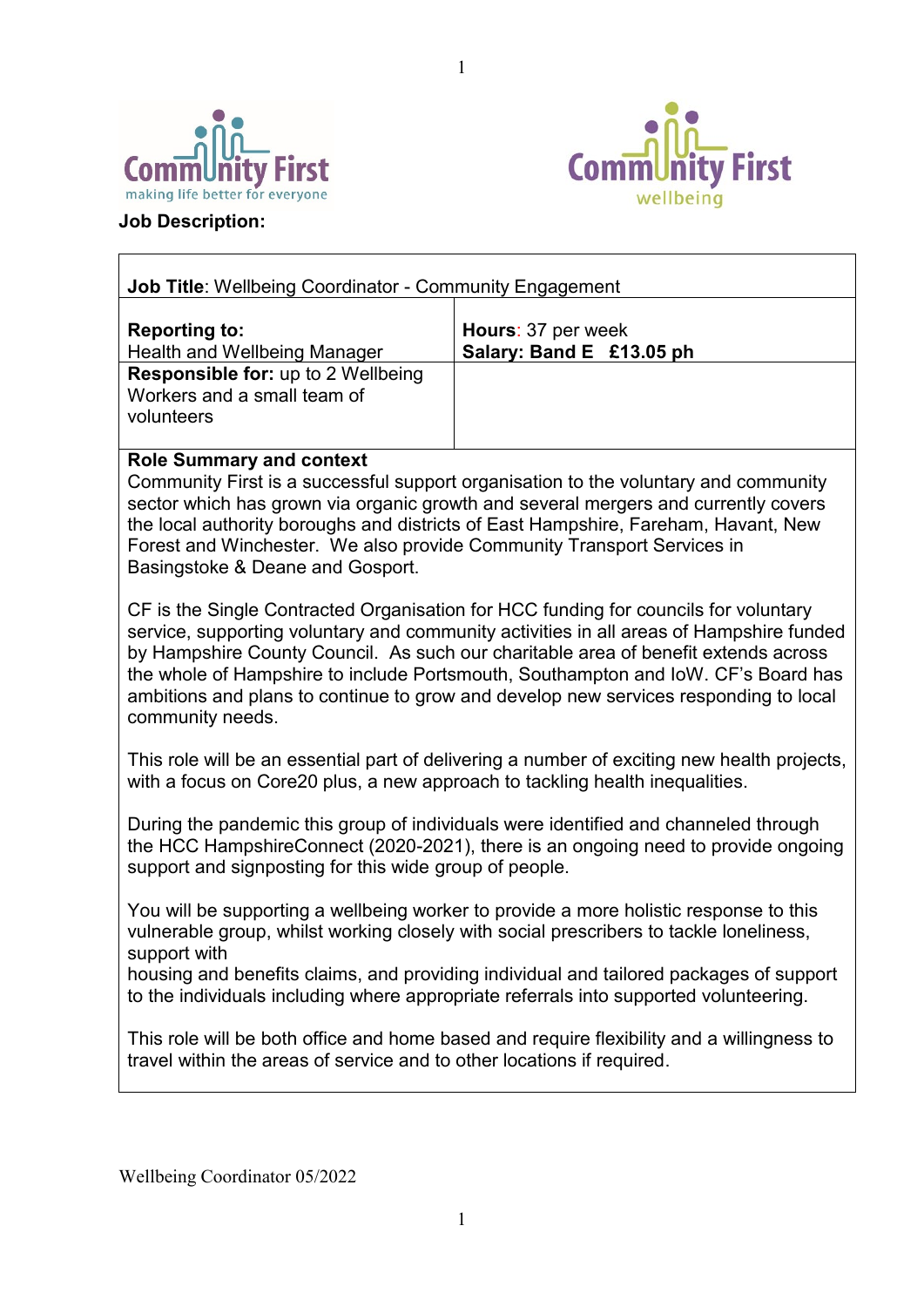



# **Job Description:**

 $\Gamma$ 

| <b>Job Title: Wellbeing Coordinator - Community Engagement</b>                         |                                                |  |  |  |  |  |
|----------------------------------------------------------------------------------------|------------------------------------------------|--|--|--|--|--|
| <b>Reporting to:</b><br><b>Health and Wellbeing Manager</b>                            | Hours: 37 per week<br>Salary: Band E £13.05 ph |  |  |  |  |  |
| <b>Responsible for: up to 2 Wellbeing</b><br>Workers and a small team of<br>volunteers |                                                |  |  |  |  |  |

1

# **Role Summary and context**

Community First is a successful support organisation to the voluntary and community sector which has grown via organic growth and several mergers and currently covers the local authority boroughs and districts of East Hampshire, Fareham, Havant, New Forest and Winchester. We also provide Community Transport Services in Basingstoke & Deane and Gosport.

CF is the Single Contracted Organisation for HCC funding for councils for voluntary service, supporting voluntary and community activities in all areas of Hampshire funded by Hampshire County Council. As such our charitable area of benefit extends across the whole of Hampshire to include Portsmouth, Southampton and IoW. CF's Board has ambitions and plans to continue to grow and develop new services responding to local community needs.

This role will be an essential part of delivering a number of exciting new health projects, with a focus on Core20 plus, a new approach to tackling health inequalities.

During the pandemic this group of individuals were identified and channeled through the HCC HampshireConnect (2020-2021), there is an ongoing need to provide ongoing support and signposting for this wide group of people.

You will be supporting a wellbeing worker to provide a more holistic response to this vulnerable group, whilst working closely with social prescribers to tackle loneliness, support with

housing and benefits claims, and providing individual and tailored packages of support to the individuals including where appropriate referrals into supported volunteering.

This role will be both office and home based and require flexibility and a willingness to travel within the areas of service and to other locations if required.

Wellbeing Coordinator 05/2022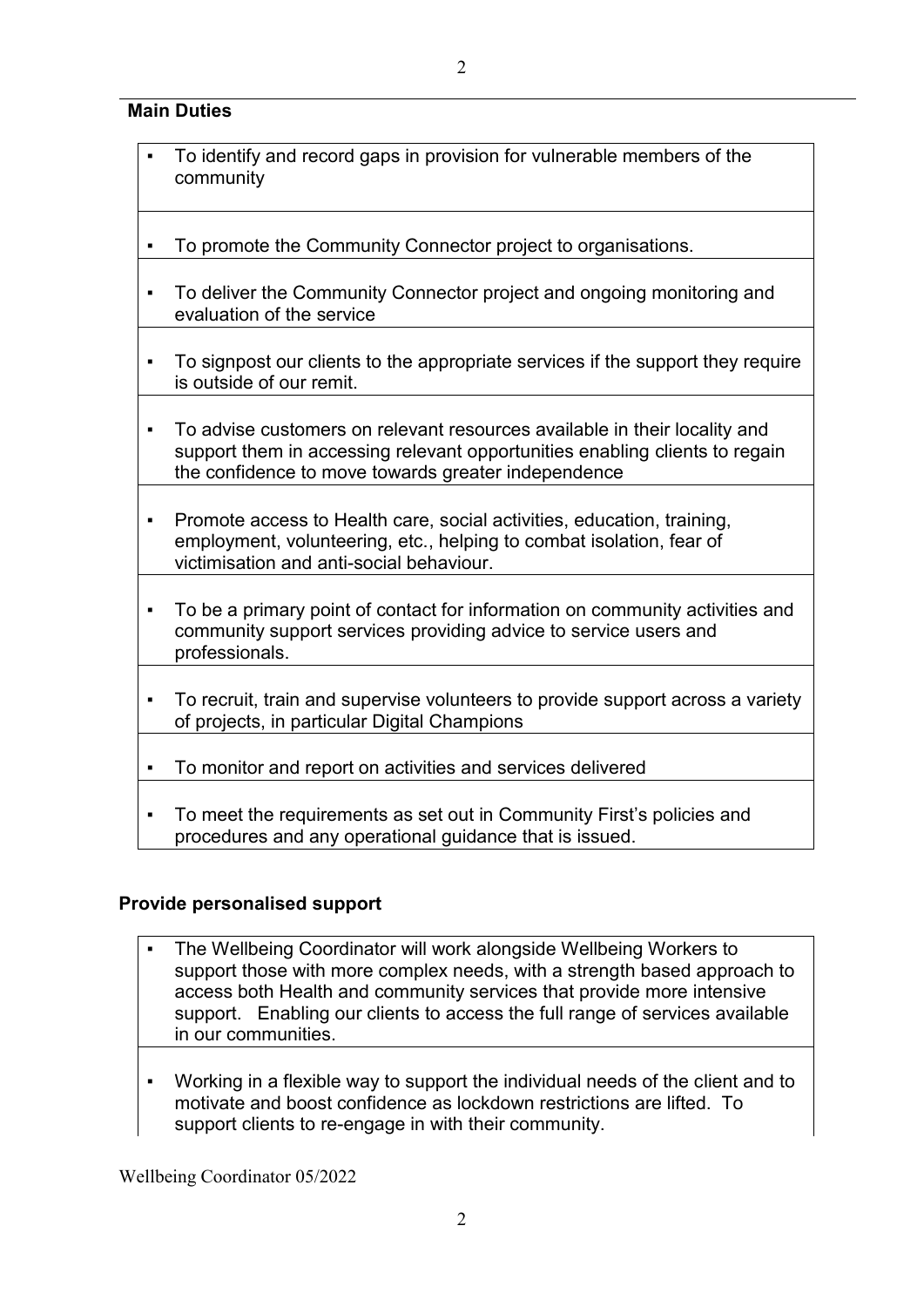$\mathfrak{D}$ 

## **Main Duties**

- To identify and record gaps in provision for vulnerable members of the community
- To promote the Community Connector project to organisations.
- To deliver the Community Connector project and ongoing monitoring and evaluation of the service
- To signpost our clients to the appropriate services if the support they require is outside of our remit.
- To advise customers on relevant resources available in their locality and support them in accessing relevant opportunities enabling clients to regain the confidence to move towards greater independence
- Promote access to Health care, social activities, education, training, employment, volunteering, etc., helping to combat isolation, fear of victimisation and anti-social behaviour.
- To be a primary point of contact for information on community activities and community support services providing advice to service users and professionals.
- To recruit, train and supervise volunteers to provide support across a variety of projects, in particular Digital Champions
- To monitor and report on activities and services delivered
- To meet the requirements as set out in Community First's policies and procedures and any operational guidance that is issued.

#### **Provide personalised support**

- The Wellbeing Coordinator will work alongside Wellbeing Workers to support those with more complex needs, with a strength based approach to access both Health and community services that provide more intensive support. Enabling our clients to access the full range of services available in our communities.
- Working in a flexible way to support the individual needs of the client and to motivate and boost confidence as lockdown restrictions are lifted. To support clients to re-engage in with their community.

Wellbeing Coordinator 05/2022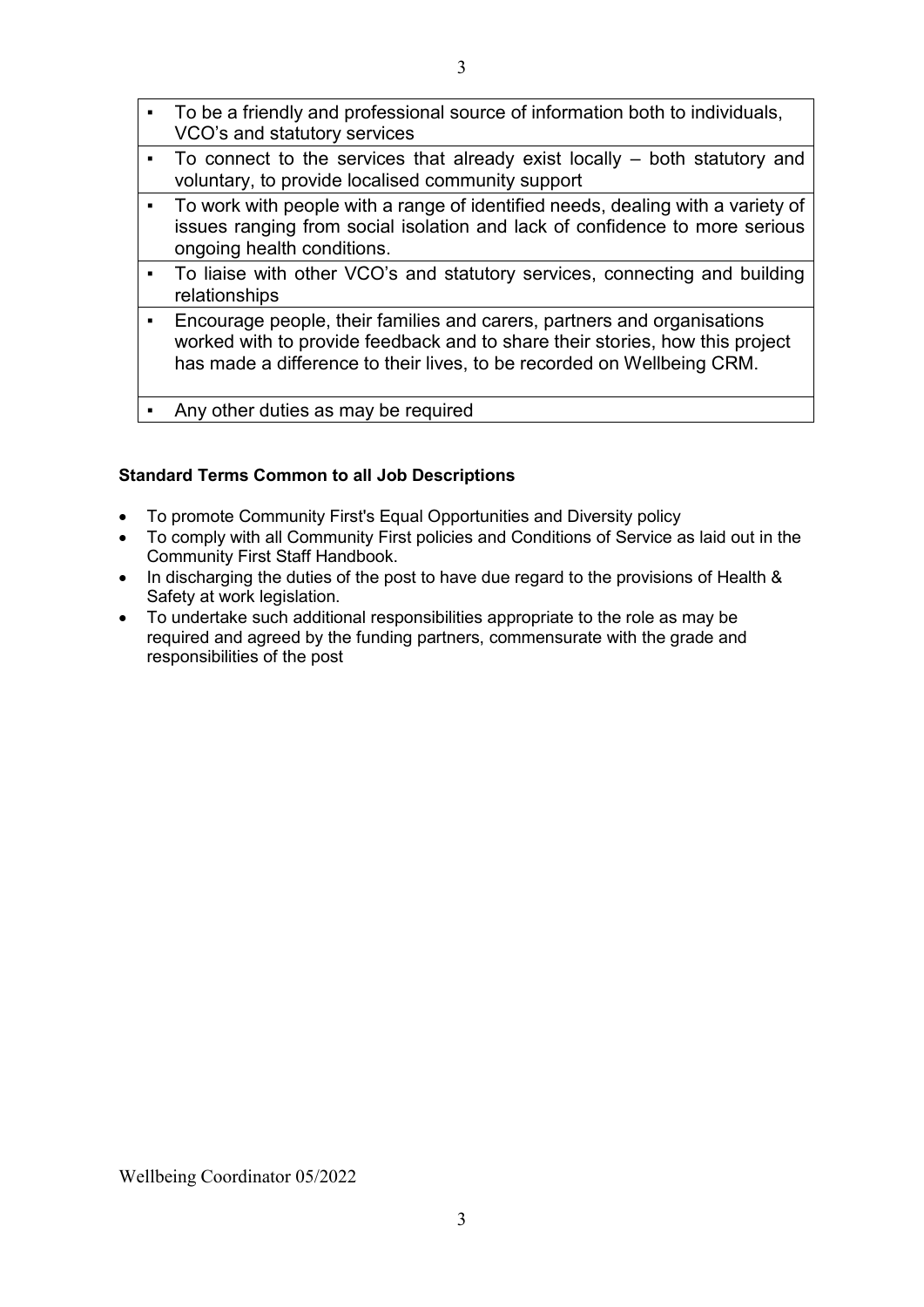$\vert \cdot \vert$  To be a friendly and professional source of information both to individuals,

|                | VCO's and statutory services                                                                                                                                                                                                      |
|----------------|-----------------------------------------------------------------------------------------------------------------------------------------------------------------------------------------------------------------------------------|
|                | - To connect to the services that already exist locally – both statutory and<br>voluntary, to provide localised community support                                                                                                 |
|                | To work with people with a range of identified needs, dealing with a variety of<br>issues ranging from social isolation and lack of confidence to more serious<br>ongoing health conditions.                                      |
|                | • To liaise with other VCO's and statutory services, connecting and building<br>relationships                                                                                                                                     |
| $\blacksquare$ | Encourage people, their families and carers, partners and organisations<br>worked with to provide feedback and to share their stories, how this project<br>has made a difference to their lives, to be recorded on Wellbeing CRM. |
|                | Any other duties as may be required                                                                                                                                                                                               |

### **Standard Terms Common to all Job Descriptions**

- To promote Community First's Equal Opportunities and Diversity policy
- To comply with all Community First policies and Conditions of Service as laid out in the Community First Staff Handbook.
- In discharging the duties of the post to have due regard to the provisions of Health & Safety at work legislation.
- To undertake such additional responsibilities appropriate to the role as may be required and agreed by the funding partners, commensurate with the grade and responsibilities of the post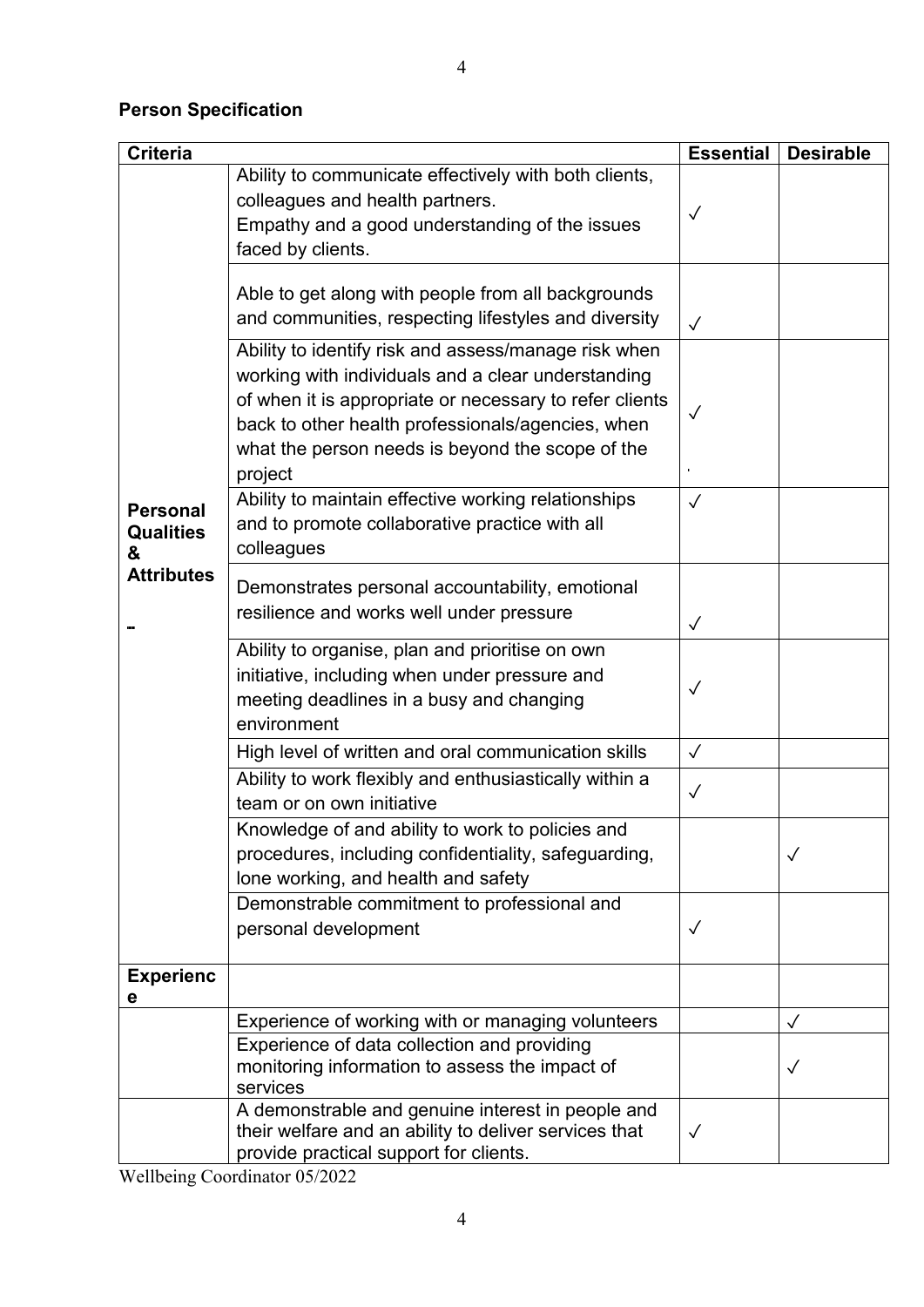# **Person Specification**

| <b>Criteria</b>                          |                                                                                                                                                                                                                                                                                           | <b>Essential</b> | <b>Desirable</b> |
|------------------------------------------|-------------------------------------------------------------------------------------------------------------------------------------------------------------------------------------------------------------------------------------------------------------------------------------------|------------------|------------------|
|                                          | Ability to communicate effectively with both clients,<br>colleagues and health partners.<br>Empathy and a good understanding of the issues<br>faced by clients.                                                                                                                           | $\checkmark$     |                  |
|                                          | Able to get along with people from all backgrounds<br>and communities, respecting lifestyles and diversity                                                                                                                                                                                | $\sqrt{}$        |                  |
|                                          | Ability to identify risk and assess/manage risk when<br>working with individuals and a clear understanding<br>of when it is appropriate or necessary to refer clients<br>back to other health professionals/agencies, when<br>what the person needs is beyond the scope of the<br>project | $\checkmark$     |                  |
| <b>Personal</b><br><b>Qualities</b><br>& | Ability to maintain effective working relationships<br>and to promote collaborative practice with all<br>colleagues                                                                                                                                                                       | $\checkmark$     |                  |
| <b>Attributes</b>                        | Demonstrates personal accountability, emotional<br>resilience and works well under pressure                                                                                                                                                                                               | $\checkmark$     |                  |
|                                          | Ability to organise, plan and prioritise on own<br>initiative, including when under pressure and<br>meeting deadlines in a busy and changing<br>environment                                                                                                                               | $\checkmark$     |                  |
|                                          | High level of written and oral communication skills                                                                                                                                                                                                                                       | $\sqrt{}$        |                  |
|                                          | Ability to work flexibly and enthusiastically within a<br>team or on own initiative                                                                                                                                                                                                       | $\checkmark$     |                  |
|                                          | Knowledge of and ability to work to policies and<br>procedures, including confidentiality, safeguarding,<br>lone working, and health and safety                                                                                                                                           |                  | $\checkmark$     |
|                                          | Demonstrable commitment to professional and<br>personal development                                                                                                                                                                                                                       | $\checkmark$     |                  |
| <b>Experienc</b><br>е                    |                                                                                                                                                                                                                                                                                           |                  |                  |
|                                          | Experience of working with or managing volunteers                                                                                                                                                                                                                                         |                  | $\checkmark$     |
|                                          | Experience of data collection and providing<br>monitoring information to assess the impact of<br>services                                                                                                                                                                                 |                  | $\checkmark$     |
|                                          | A demonstrable and genuine interest in people and<br>their welfare and an ability to deliver services that<br>provide practical support for clients.                                                                                                                                      | $\checkmark$     |                  |

Wellbeing Coordinator 05/2022